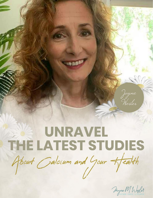# UNRAVEL THE LATEST STUDIES About Galcium and Your Health

Jayne M. Wesler

15

Jayne<br>Wesler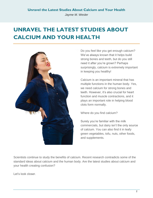*Jayme M. Wesler*

# **UNRAVEL THE LATEST STUDIES ABOUT CALCIUM AND YOUR HEALTH**



Do you feel like you get enough calcium? We've always known that it helps build strong bones and teeth, but do you still need it after you're grown? Perhaps surprisingly, calcium is extremely important in keeping you healthy!

Calcium is an important mineral that has multiple functions in the human body. Yes, we need calcium for strong bones and teeth. However, it's also crucial for heart function and muscle contractions, and it plays an important role in helping blood clots form normally.

Where do you find calcium?

Surely you're familiar with the milk commercials, but dairy isn't the only source of calcium. You can also find it in leafy green vegetables, tofu, nuts, other foods, and supplements.

Scientists continue to study the benefits of calcium. Recent research contradicts some of the standard ideas about calcium and the human body. Are the latest studies about calcium and your health creating confusion?

Let's look closer.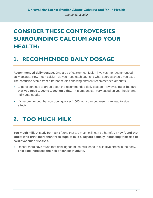# **CONSIDER THESE CONTROVERSIES SURROUNDING CALCIUM AND YOUR HEALTH:**

#### **1. RECOMMENDED DAILY DOSAGE**

**Recommended daily dosage.** One area of calcium confusion involves the recommended daily dosage. How much calcium do you need each day, and what sources should you use? The confusion stems from different studies showing different recommended amounts.

- Experts continue to argue about the recommended daily dosage. However, **most believe that you need 1,000 to 1,200 mg a day.** This amount can vary based on your health and individual needs.
- It's recommended that you don't go over 1,500 mg a day because it can lead to side effects.

# **2. TOO MUCH MILK**

**Too much milk.** A study from BMJ found that too much milk can be harmful. **They found that adults who drink more than three cups of milk a day are actually increasing their risk of cardiovascular diseases.**

 Researchers have found that drinking too much milk leads to oxidative stress in the body. **This also increases the risk of cancer in adults.**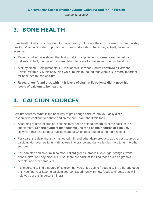## **3. BONE HEALTH**

Bone health. Calcium is important for bone health, but it's not the only mineral you need to stay healthy. Vitamin D is also important, and new studies show that it may actually be more essential.

- Recent studies have shown that taking calcium supplements doesn't seem to help all patients. In fact, the risk of fractures didn't decrease for the entire group in the study.
- A study, titled "Steingrimsdottir L. Relationship Between Serum Parathyroid Hormone Levels, Vitamin D Sufficiency, and Calcium Intake," found that vitamin D is more important for bone health than calcium.
- **Researchers found that, with high levels of vitamin D, patients didn't need high levels of calcium to be healthy.**

# **4. CALCIUM SOURCES**

Calcium sources. What is the best way to get enough calcium into your daily diet? Researchers continue to debate and create confusion about this topic.

- According to several studies, patients may not be able to absorb all of the calcium in a supplement. **Experts suggest that patients use food as their source of calcium.** However, this also creates questions about which food source is the most helpful.
- For years, the dairy industry has touted milk and other dairy products as the best sources of calcium. However, patients with lactose-intolerance and dairy allergies have to turn to other sources.
- You can also find calcium in salmon, collard greens, broccoli, kale, figs, oranges, white beans, okra, and soy products. Also, there are calcium-fortified foods such as granola, cereals, and other products.
- It's important to find a source of calcium that you enjoy eating frequently. Try different foods until you find your favorite calcium source. Experiment with new foods and ideas that will help you get this important mineral.